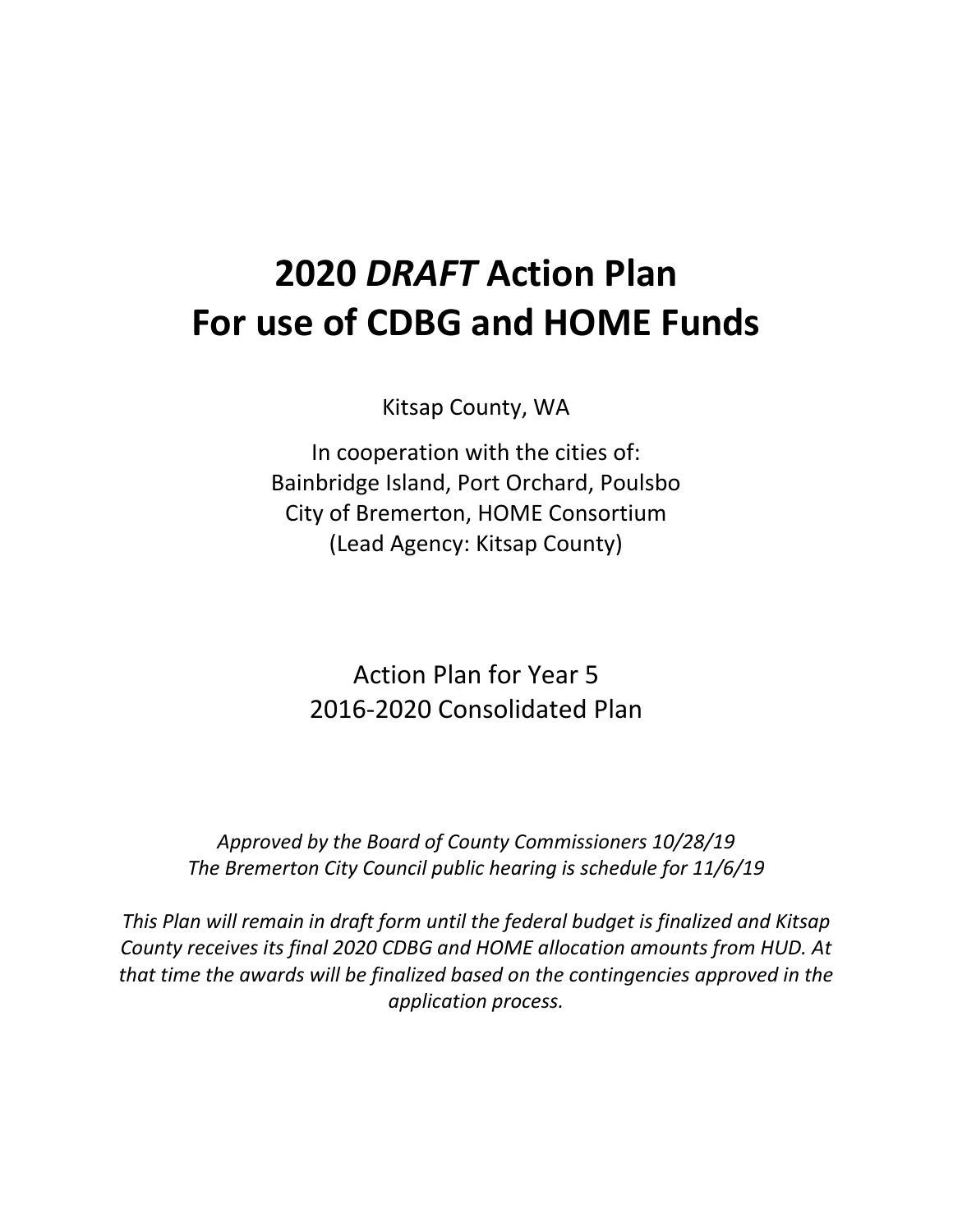# **2020** *DRAFT* **Action Plan For use of CDBG and HOME Funds**

Kitsap County, WA

In cooperation with the cities of: Bainbridge Island, Port Orchard, Poulsbo City of Bremerton, HOME Consortium (Lead Agency: Kitsap County)

Action Plan for Year 5 2016-2020 Consolidated Plan

*Approved by the Board of County Commissioners 10/28/19 The Bremerton City Council public hearing is schedule for 11/6/19*

*This Plan will remain in draft form until the federal budget is finalized and Kitsap County receives its final 2020 CDBG and HOME allocation amounts from HUD. At that time the awards will be finalized based on the contingencies approved in the application process.*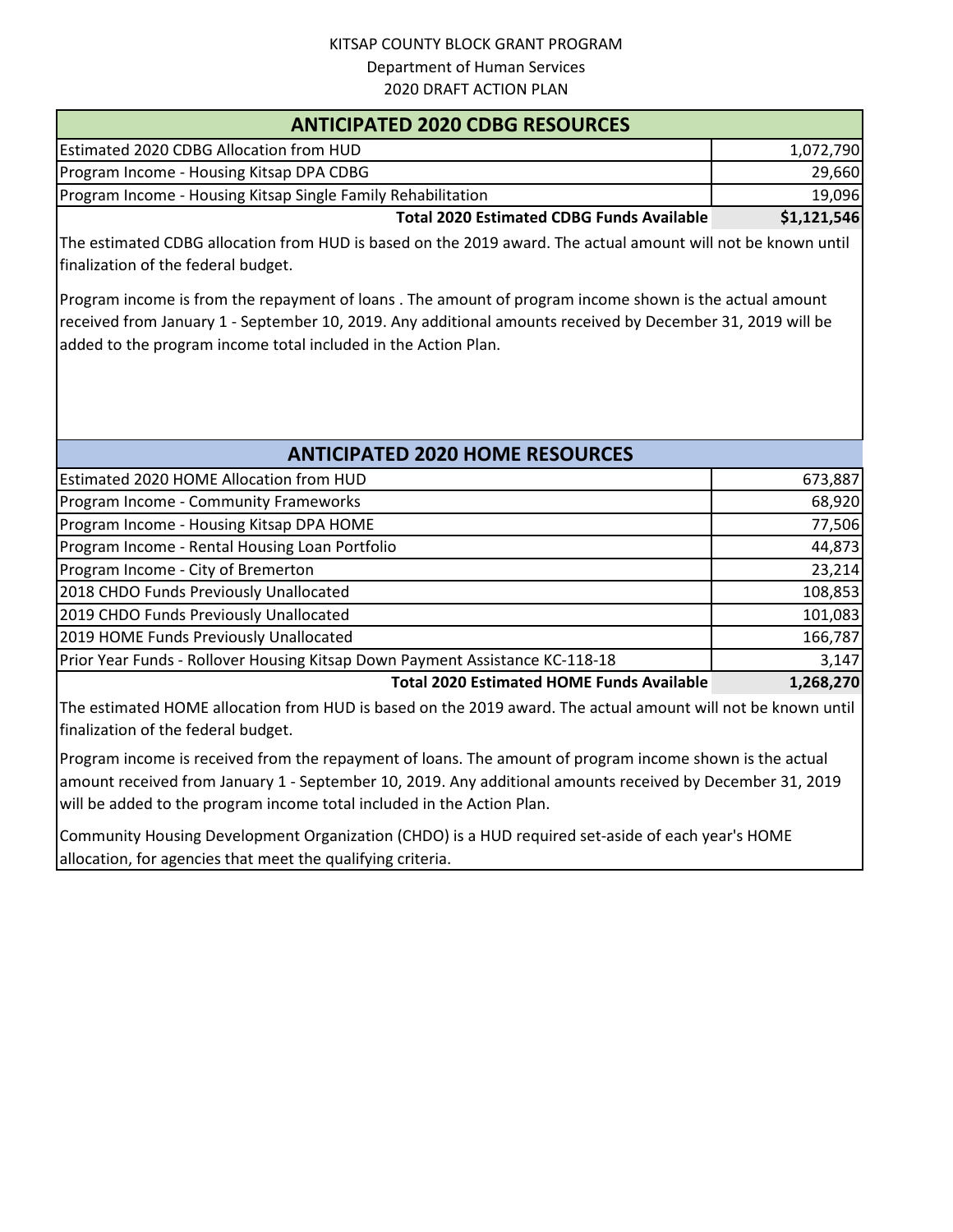| <b>ANTICIPATED 2020 CDBG RESOURCES</b>                       |             |  |
|--------------------------------------------------------------|-------------|--|
| <b>Estimated 2020 CDBG Allocation from HUD</b>               | 1,072,790   |  |
| Program Income - Housing Kitsap DPA CDBG                     | 29,660      |  |
| Program Income - Housing Kitsap Single Family Rehabilitation | 19,096      |  |
| <b>Total 2020 Estimated CDBG Funds Available</b>             | \$1,121,546 |  |

The estimated CDBG allocation from HUD is based on the 2019 award. The actual amount will not be known until finalization of the federal budget.

Program income is from the repayment of loans . The amount of program income shown is the actual amount received from January 1 - September 10, 2019. Any additional amounts received by December 31, 2019 will be added to the program income total included in the Action Plan.

### **ANTICIPATED 2020 HOME RESOURCES**

| Estimated 2020 HOME Allocation from HUD                                      | 673,887   |
|------------------------------------------------------------------------------|-----------|
| Program Income - Community Frameworks                                        | 68,920    |
| Program Income - Housing Kitsap DPA HOME                                     | 77,506    |
| Program Income - Rental Housing Loan Portfolio                               | 44,873    |
| Program Income - City of Bremerton                                           | 23,214    |
| 2018 CHDO Funds Previously Unallocated                                       | 108,853   |
| 2019 CHDO Funds Previously Unallocated                                       | 101,083   |
| 2019 HOME Funds Previously Unallocated                                       | 166,787   |
| Prior Year Funds - Rollover Housing Kitsap Down Payment Assistance KC-118-18 | 3,147     |
| <b>Total 2020 Estimated HOME Funds Available</b>                             | 1,268,270 |

**Total 2020 Estimated HOME Funds Available**

The estimated HOME allocation from HUD is based on the 2019 award. The actual amount will not be known until finalization of the federal budget.

Program income is received from the repayment of loans. The amount of program income shown is the actual amount received from January 1 - September 10, 2019. Any additional amounts received by December 31, 2019 will be added to the program income total included in the Action Plan.

Community Housing Development Organization (CHDO) is a HUD required set-aside of each year's HOME allocation, for agencies that meet the qualifying criteria.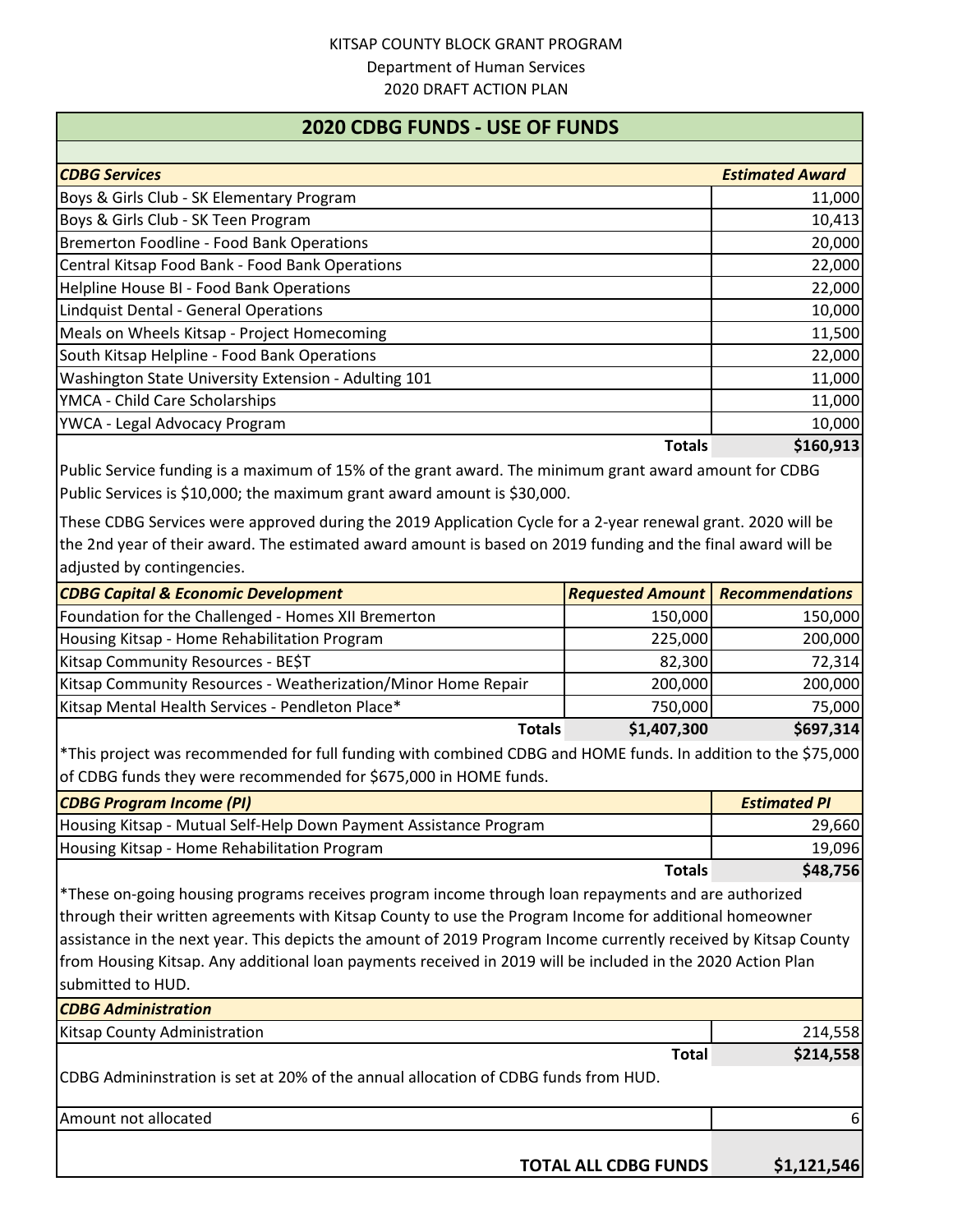#### **2020 CDBG FUNDS - USE OF FUNDS**

| <b>CDBG Services</b>                                 | <b>Estimated Award</b> |
|------------------------------------------------------|------------------------|
| Boys & Girls Club - SK Elementary Program            | 11,000                 |
| Boys & Girls Club - SK Teen Program                  | 10,413                 |
| Bremerton Foodline - Food Bank Operations            | 20,000                 |
| Central Kitsap Food Bank - Food Bank Operations      | 22,000                 |
| Helpline House BI - Food Bank Operations             | 22,000                 |
| <b>Lindquist Dental - General Operations</b>         | 10,000                 |
| Meals on Wheels Kitsap - Project Homecoming          | 11,500                 |
| South Kitsap Helpline - Food Bank Operations         | 22,000                 |
| Washington State University Extension - Adulting 101 | 11,000                 |
| YMCA - Child Care Scholarships                       | 11,000                 |
| YWCA - Legal Advocacy Program                        | 10,000                 |
| Totals                                               | \$160,913              |

Public Service funding is a maximum of 15% of the grant award. The minimum grant award amount for CDBG Public Services is \$10,000; the maximum grant award amount is \$30,000.

These CDBG Services were approved during the 2019 Application Cycle for a 2-year renewal grant. 2020 will be the 2nd year of their award. The estimated award amount is based on 2019 funding and the final award will be adjusted by contingencies.

| <b>CDBG Capital &amp; Economic Development</b>                | <b>Requested Amount   Recommendations</b> |           |
|---------------------------------------------------------------|-------------------------------------------|-----------|
| Foundation for the Challenged - Homes XII Bremerton           | 150,000                                   | 150,000   |
| Housing Kitsap - Home Rehabilitation Program                  | 225,000                                   | 200,000   |
| Kitsap Community Resources - BE\$T                            | 82,300                                    | 72,314    |
| Kitsap Community Resources - Weatherization/Minor Home Repair | 200,000                                   | 200,000   |
| Kitsap Mental Health Services - Pendleton Place*              | 750,000                                   | 75,000    |
| <b>Totals</b>                                                 | \$1,407,300                               | \$697,314 |

\*This project was recommended for full funding with combined CDBG and HOME funds. In addition to the \$75,000 of CDBG funds they were recommended for \$675,000 in HOME funds.

| <b>CDBG Program Income (PI)</b>                                   | <b>Estimated PI</b>  |
|-------------------------------------------------------------------|----------------------|
| Housing Kitsap - Mutual Self-Help Down Payment Assistance Program | 29,660               |
| Housing Kitsap - Home Rehabilitation Program                      | 19,096               |
| .                                                                 | $\lambda$ and $\eta$ |

**Totals \$48,756**

\*These on-going housing programs receives program income through loan repayments and are authorized through their written agreements with Kitsap County to use the Program Income for additional homeowner assistance in the next year. This depicts the amount of 2019 Program Income currently received by Kitsap County from Housing Kitsap. Any additional loan payments received in 2019 will be included in the 2020 Action Plan submitted to HUD.

| <b>CDBG Administration</b>                                                          |             |
|-------------------------------------------------------------------------------------|-------------|
| Kitsap County Administration                                                        | 214,558     |
| <b>Total</b>                                                                        | \$214,558   |
| CDBG Admininstration is set at 20% of the annual allocation of CDBG funds from HUD. |             |
| Amount not allocated                                                                | 61          |
| <b>TOTAL ALL CDBG FUNDS</b>                                                         | \$1,121,546 |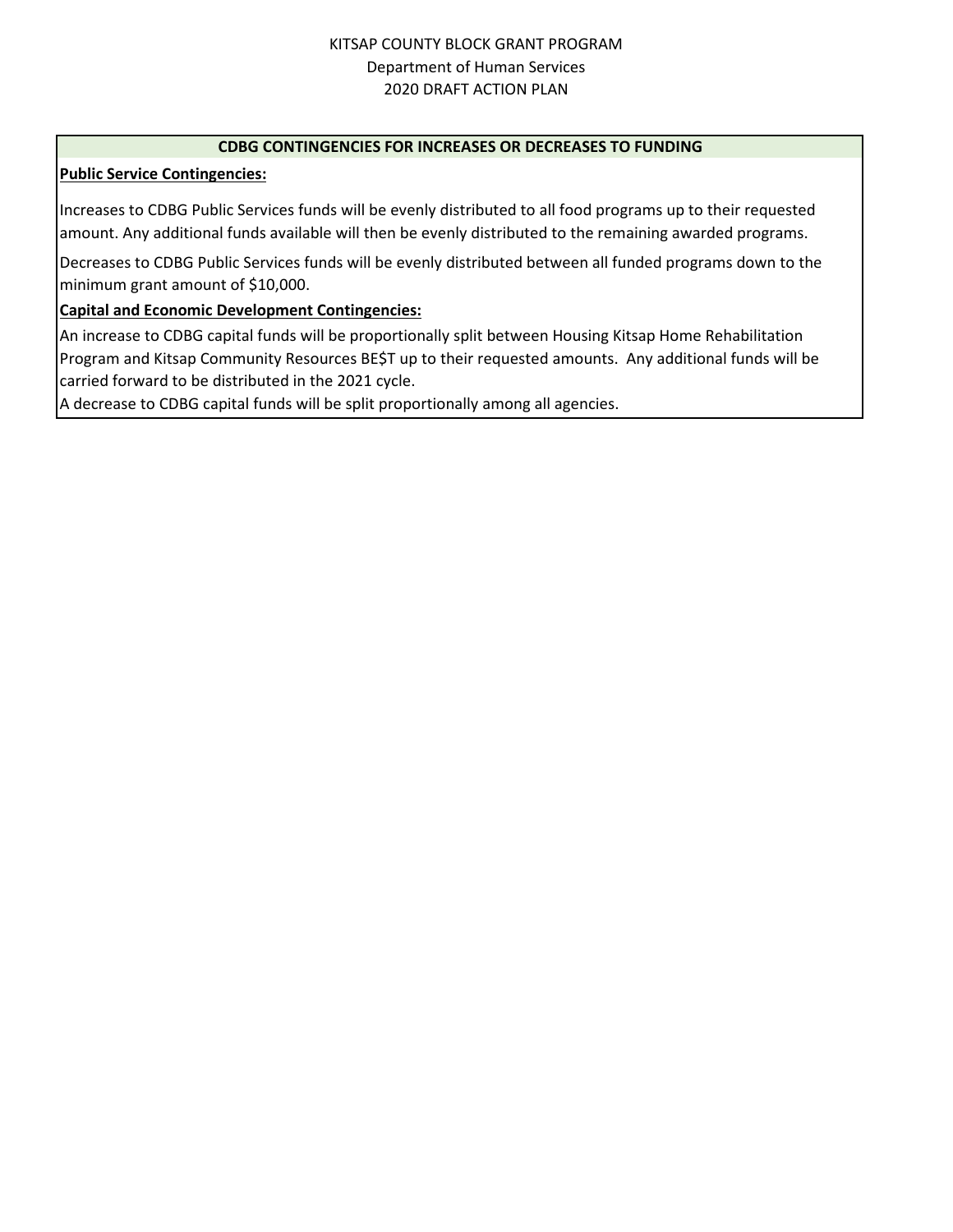#### **CDBG CONTINGENCIES FOR INCREASES OR DECREASES TO FUNDING**

#### **Public Service Contingencies:**

Increases to CDBG Public Services funds will be evenly distributed to all food programs up to their requested amount. Any additional funds available will then be evenly distributed to the remaining awarded programs.

Decreases to CDBG Public Services funds will be evenly distributed between all funded programs down to the minimum grant amount of \$10,000.

#### **Capital and Economic Development Contingencies:**

An increase to CDBG capital funds will be proportionally split between Housing Kitsap Home Rehabilitation Program and Kitsap Community Resources BE\$T up to their requested amounts. Any additional funds will be carried forward to be distributed in the 2021 cycle.

A decrease to CDBG capital funds will be split proportionally among all agencies.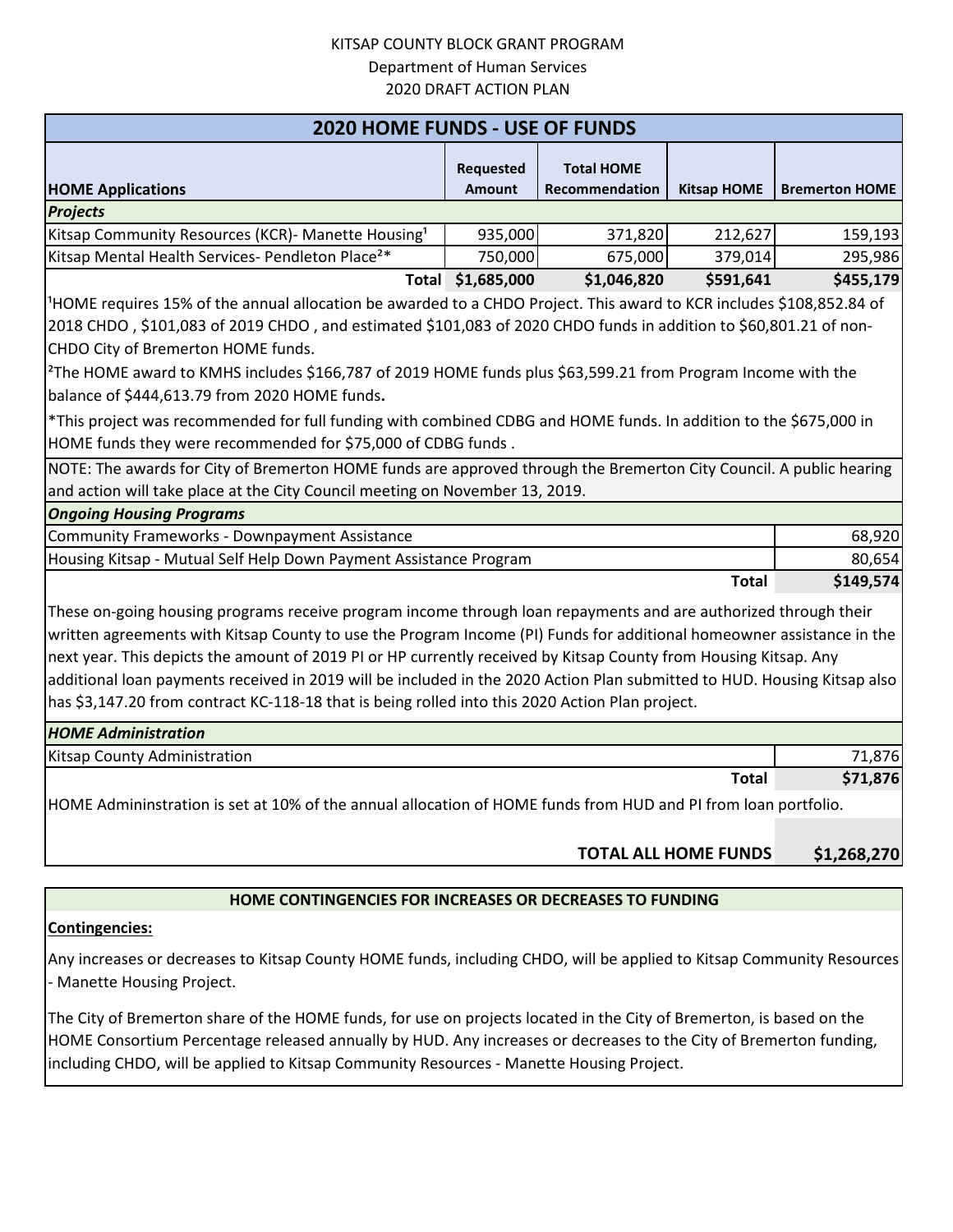| <b>2020 HOME FUNDS - USE OF FUNDS</b>                                                                                            |                            |                                     |                    |                       |
|----------------------------------------------------------------------------------------------------------------------------------|----------------------------|-------------------------------------|--------------------|-----------------------|
| <b>HOME Applications</b>                                                                                                         | Requested<br><b>Amount</b> | <b>Total HOME</b><br>Recommendation | <b>Kitsap HOME</b> | <b>Bremerton HOME</b> |
| <b>Projects</b>                                                                                                                  |                            |                                     |                    |                       |
| Kitsap Community Resources (KCR)- Manette Housing <sup>1</sup>                                                                   | 935,000                    | 371,820                             | 212,627            | 159,193               |
| Kitsap Mental Health Services- Pendleton Place <sup>2*</sup>                                                                     | 750,000                    | 675,000                             | 379,014            | 295,986               |
|                                                                                                                                  | Total \$1,685,000          | \$1,046,820                         | \$591,641          | \$455,179             |
| <sup>1</sup> HOME requires 15% of the annual allocation be awarded to a CHDO Project. This award to KCR includes \$108,852.84 of |                            |                                     |                    |                       |
| 2018 CHDO, \$101,083 of 2019 CHDO, and estimated \$101,083 of 2020 CHDO funds in addition to \$60,801.21 of non-                 |                            |                                     |                    |                       |
| CHDO City of Bremerton HOME funds.                                                                                               |                            |                                     |                    |                       |
| <sup>2</sup> The HOME award to KMHS includes \$166,787 of 2019 HOME funds plus \$63,599.21 from Program Income with the          |                            |                                     |                    |                       |
| balance of \$444,613.79 from 2020 HOME funds.                                                                                    |                            |                                     |                    |                       |
| *This project was recommended for full funding with combined CDBG and HOME funds. In addition to the \$675,000 in                |                            |                                     |                    |                       |
| HOME funds they were recommended for \$75,000 of CDBG funds.                                                                     |                            |                                     |                    |                       |
| NOTE: The awards for City of Bremerton HOME funds are approved through the Bremerton City Council. A public hearing              |                            |                                     |                    |                       |
| and action will take place at the City Council meeting on November 13, 2019.                                                     |                            |                                     |                    |                       |
| <b>Ongoing Housing Programs</b>                                                                                                  |                            |                                     |                    |                       |
| <b>Community Frameworks - Downpayment Assistance</b>                                                                             |                            |                                     |                    | 68,920                |
| Housing Kitsap - Mutual Self Help Down Payment Assistance Program                                                                |                            |                                     |                    | 80,654                |
|                                                                                                                                  |                            |                                     | <b>Total</b>       | \$149,574             |
| These on-going housing programs receive program income through loan repayments and are authorized through their                  |                            |                                     |                    |                       |
| written agreements with Kitsap County to use the Program Income (PI) Funds for additional homeowner assistance in the            |                            |                                     |                    |                       |
| next year. This depicts the amount of 2019 PI or HP currently received by Kitsap County from Housing Kitsap. Any                 |                            |                                     |                    |                       |
| additional loan payments received in 2019 will be included in the 2020 Action Plan submitted to HUD. Housing Kitsap also         |                            |                                     |                    |                       |
| has \$3,147.20 from contract KC-118-18 that is being rolled into this 2020 Action Plan project.                                  |                            |                                     |                    |                       |
| <b>HOME Administration</b>                                                                                                       |                            |                                     |                    |                       |
| <b>Kitsap County Administration</b>                                                                                              |                            |                                     |                    | 71,876                |
|                                                                                                                                  |                            |                                     | <b>Total</b>       | \$71,876              |
| HOME Admininstration is set at 10% of the annual allocation of HOME funds from HUD and PI from loan portfolio.                   |                            |                                     |                    |                       |
|                                                                                                                                  |                            |                                     |                    |                       |

#### **\$1,268,270 TOTAL ALL HOME FUNDS**

#### **HOME CONTINGENCIES FOR INCREASES OR DECREASES TO FUNDING**

#### **Contingencies:**

Any increases or decreases to Kitsap County HOME funds, including CHDO, will be applied to Kitsap Community Resources - Manette Housing Project.

The City of Bremerton share of the HOME funds, for use on projects located in the City of Bremerton, is based on the HOME Consortium Percentage released annually by HUD. Any increases or decreases to the City of Bremerton funding, including CHDO, will be applied to Kitsap Community Resources - Manette Housing Project.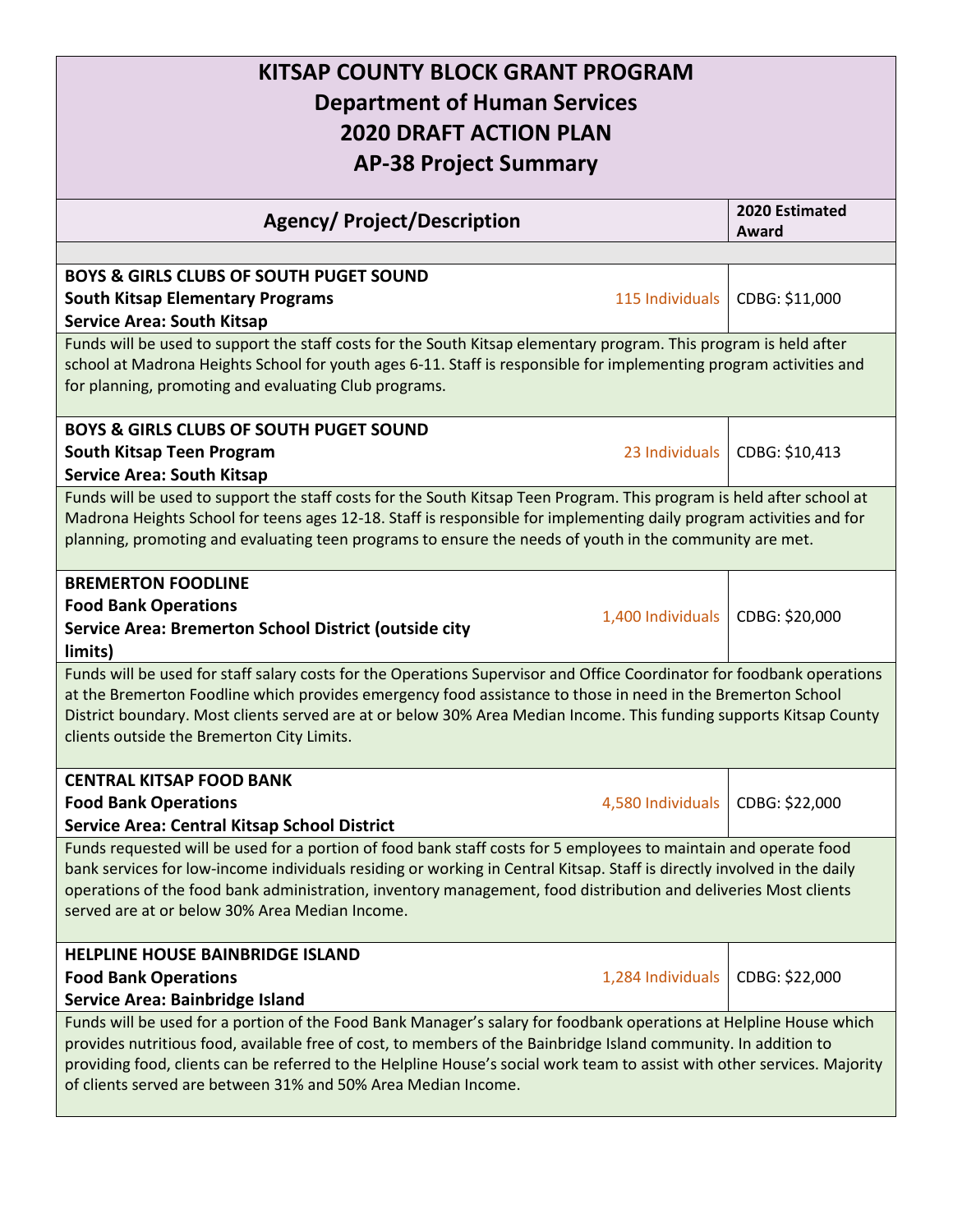## **KITSAP COUNTY BLOCK GRANT PROGRAM Department of Human Services 2020 DRAFT ACTION PLAN AP-38 Project Summary**

| <b>Agency/ Project/Description</b>                                                                                       | 2020 Estimated<br>Award |  |
|--------------------------------------------------------------------------------------------------------------------------|-------------------------|--|
|                                                                                                                          |                         |  |
| <b>BOYS &amp; GIRLS CLUBS OF SOUTH PUGET SOUND</b>                                                                       |                         |  |
| <b>South Kitsap Elementary Programs</b><br>115 Individuals                                                               | CDBG: \$11,000          |  |
| <b>Service Area: South Kitsap</b>                                                                                        |                         |  |
| Funds will be used to support the staff costs for the South Kitsap elementary program. This program is held after        |                         |  |
| school at Madrona Heights School for youth ages 6-11. Staff is responsible for implementing program activities and       |                         |  |
| for planning, promoting and evaluating Club programs.                                                                    |                         |  |
| <b>BOYS &amp; GIRLS CLUBS OF SOUTH PUGET SOUND</b>                                                                       |                         |  |
| 23 Individuals<br><b>South Kitsap Teen Program</b>                                                                       | CDBG: \$10,413          |  |
| <b>Service Area: South Kitsap</b>                                                                                        |                         |  |
| Funds will be used to support the staff costs for the South Kitsap Teen Program. This program is held after school at    |                         |  |
| Madrona Heights School for teens ages 12-18. Staff is responsible for implementing daily program activities and for      |                         |  |
| planning, promoting and evaluating teen programs to ensure the needs of youth in the community are met.                  |                         |  |
| <b>BREMERTON FOODLINE</b>                                                                                                |                         |  |
| <b>Food Bank Operations</b>                                                                                              |                         |  |
| 1,400 Individuals<br>Service Area: Bremerton School District (outside city                                               | CDBG: \$20,000          |  |
| limits)                                                                                                                  |                         |  |
| Funds will be used for staff salary costs for the Operations Supervisor and Office Coordinator for foodbank operations   |                         |  |
| at the Bremerton Foodline which provides emergency food assistance to those in need in the Bremerton School              |                         |  |
| District boundary. Most clients served are at or below 30% Area Median Income. This funding supports Kitsap County       |                         |  |
| clients outside the Bremerton City Limits.                                                                               |                         |  |
| <b>CENTRAL KITSAP FOOD BANK</b>                                                                                          |                         |  |
| <b>Food Bank Operations</b><br>4,580 Individuals                                                                         | CDBG: \$22,000          |  |
| <b>Service Area: Central Kitsap School District</b>                                                                      |                         |  |
| Funds requested will be used for a portion of food bank staff costs for 5 employees to maintain and operate food         |                         |  |
| bank services for low-income individuals residing or working in Central Kitsap. Staff is directly involved in the daily  |                         |  |
| operations of the food bank administration, inventory management, food distribution and deliveries Most clients          |                         |  |
| served are at or below 30% Area Median Income.                                                                           |                         |  |
|                                                                                                                          |                         |  |
| <b>HELPLINE HOUSE BAINBRIDGE ISLAND</b>                                                                                  |                         |  |
| <b>Food Bank Operations</b><br>1,284 Individuals                                                                         | CDBG: \$22,000          |  |
| Service Area: Bainbridge Island                                                                                          |                         |  |
| Funds will be used for a portion of the Food Bank Manager's salary for foodbank operations at Helpline House which       |                         |  |
| provides nutritious food, available free of cost, to members of the Bainbridge Island community. In addition to          |                         |  |
| providing food, clients can be referred to the Helpline House's social work team to assist with other services. Majority |                         |  |
| of clients served are between 31% and 50% Area Median Income.                                                            |                         |  |
|                                                                                                                          |                         |  |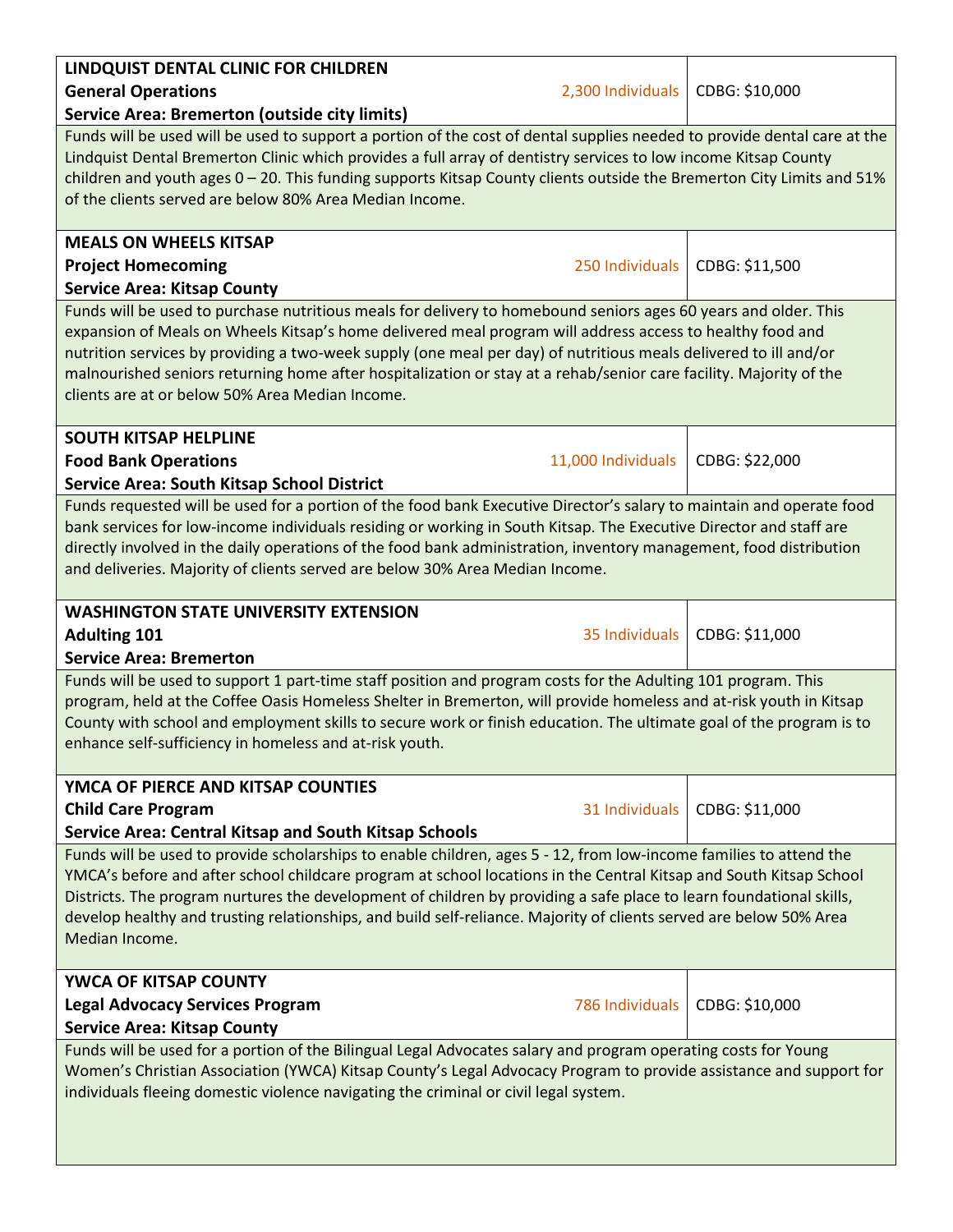| LINDQUIST DENTAL CLINIC FOR CHILDREN                                                                                     |                    |                |  |
|--------------------------------------------------------------------------------------------------------------------------|--------------------|----------------|--|
| <b>General Operations</b>                                                                                                | 2,300 Individuals  | CDBG: \$10,000 |  |
| <b>Service Area: Bremerton (outside city limits)</b>                                                                     |                    |                |  |
| Funds will be used will be used to support a portion of the cost of dental supplies needed to provide dental care at the |                    |                |  |
| Lindquist Dental Bremerton Clinic which provides a full array of dentistry services to low income Kitsap County          |                    |                |  |
| children and youth ages $0 - 20$ . This funding supports Kitsap County clients outside the Bremerton City Limits and 51% |                    |                |  |
| of the clients served are below 80% Area Median Income.                                                                  |                    |                |  |
|                                                                                                                          |                    |                |  |
| <b>MEALS ON WHEELS KITSAP</b>                                                                                            |                    |                |  |
| <b>Project Homecoming</b>                                                                                                | 250 Individuals    | CDBG: \$11,500 |  |
| <b>Service Area: Kitsap County</b>                                                                                       |                    |                |  |
| Funds will be used to purchase nutritious meals for delivery to homebound seniors ages 60 years and older. This          |                    |                |  |
| expansion of Meals on Wheels Kitsap's home delivered meal program will address access to healthy food and                |                    |                |  |
| nutrition services by providing a two-week supply (one meal per day) of nutritious meals delivered to ill and/or         |                    |                |  |
| malnourished seniors returning home after hospitalization or stay at a rehab/senior care facility. Majority of the       |                    |                |  |
| clients are at or below 50% Area Median Income.                                                                          |                    |                |  |
|                                                                                                                          |                    |                |  |
| <b>SOUTH KITSAP HELPLINE</b>                                                                                             |                    |                |  |
| <b>Food Bank Operations</b>                                                                                              | 11,000 Individuals | CDBG: \$22,000 |  |
| <b>Service Area: South Kitsap School District</b>                                                                        |                    |                |  |
| Funds requested will be used for a portion of the food bank Executive Director's salary to maintain and operate food     |                    |                |  |
| bank services for low-income individuals residing or working in South Kitsap. The Executive Director and staff are       |                    |                |  |
| directly involved in the daily operations of the food bank administration, inventory management, food distribution       |                    |                |  |
| and deliveries. Majority of clients served are below 30% Area Median Income.                                             |                    |                |  |
|                                                                                                                          |                    |                |  |
| <b>WASHINGTON STATE UNIVERSITY EXTENSION</b>                                                                             |                    |                |  |
| <b>Adulting 101</b>                                                                                                      | 35 Individuals     | CDBG: \$11,000 |  |
| <b>Service Area: Bremerton</b>                                                                                           |                    |                |  |
| Funds will be used to support 1 part-time staff position and program costs for the Adulting 101 program. This            |                    |                |  |
| program, held at the Coffee Oasis Homeless Shelter in Bremerton, will provide homeless and at-risk youth in Kitsap       |                    |                |  |
| County with school and employment skills to secure work or finish education. The ultimate goal of the program is to      |                    |                |  |
| enhance self-sufficiency in homeless and at-risk youth.                                                                  |                    |                |  |
|                                                                                                                          |                    |                |  |
| YMCA OF PIERCE AND KITSAP COUNTIES                                                                                       |                    |                |  |
| <b>Child Care Program</b>                                                                                                | 31 Individuals     | CDBG: \$11,000 |  |
| <b>Service Area: Central Kitsap and South Kitsap Schools</b>                                                             |                    |                |  |
| Funds will be used to provide scholarships to enable children, ages 5 - 12, from low-income families to attend the       |                    |                |  |
| YMCA's before and after school childcare program at school locations in the Central Kitsap and South Kitsap School       |                    |                |  |
| Districts. The program nurtures the development of children by providing a safe place to learn foundational skills,      |                    |                |  |
| develop healthy and trusting relationships, and build self-reliance. Majority of clients served are below 50% Area       |                    |                |  |
| Median Income.                                                                                                           |                    |                |  |
|                                                                                                                          |                    |                |  |
| YWCA OF KITSAP COUNTY                                                                                                    |                    |                |  |
| <b>Legal Advocacy Services Program</b>                                                                                   | 786 Individuals    | CDBG: \$10,000 |  |
| <b>Service Area: Kitsap County</b>                                                                                       |                    |                |  |
| Funds will be used for a portion of the Bilingual Legal Advocates salary and program operating costs for Young           |                    |                |  |
| Women's Christian Association (YWCA) Kitsap County's Legal Advocacy Program to provide assistance and support for        |                    |                |  |
| individuals fleeing domestic violence navigating the criminal or civil legal system.                                     |                    |                |  |
|                                                                                                                          |                    |                |  |
|                                                                                                                          |                    |                |  |

**Contract Contract State** 

 $\mathbf{I}$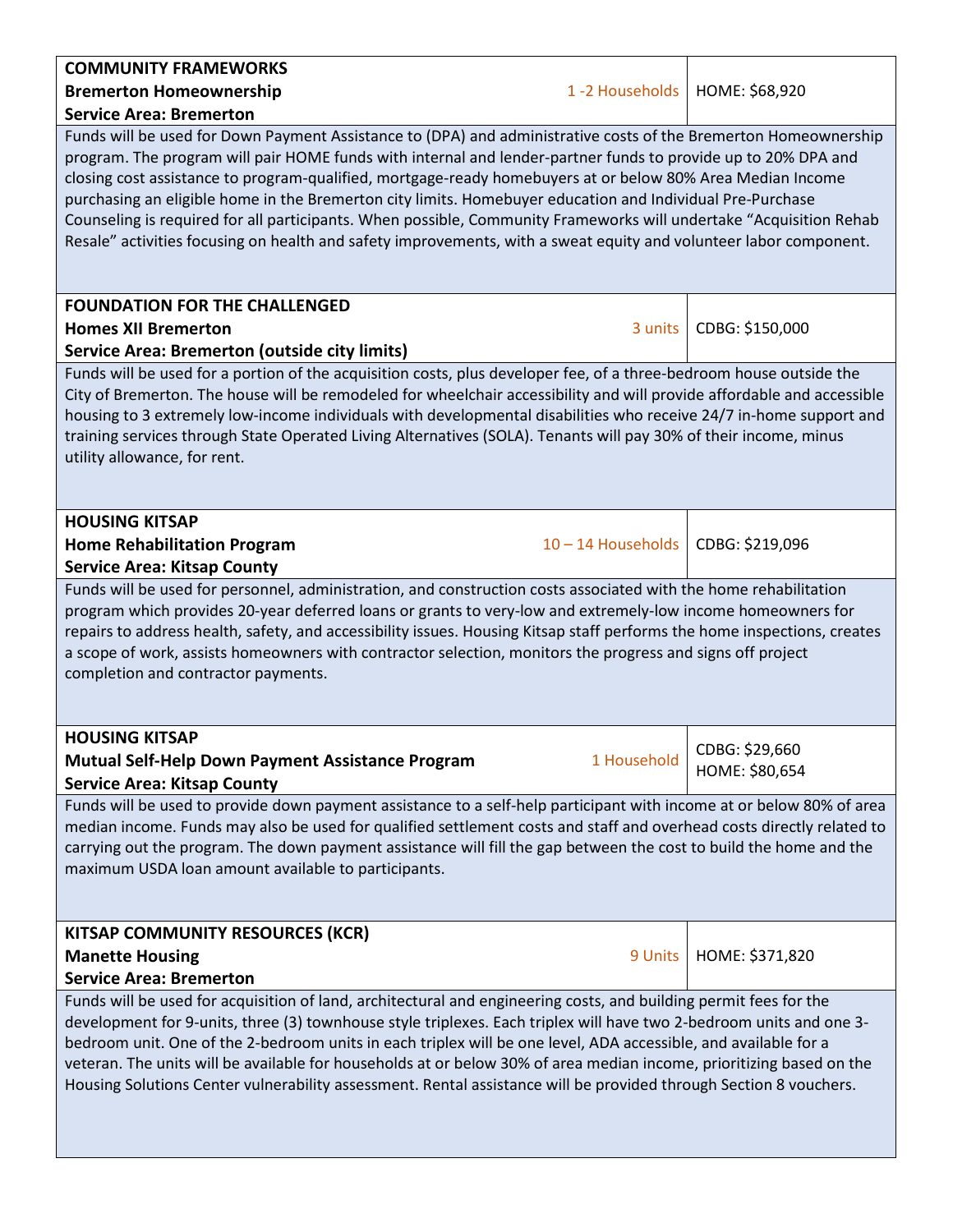| <b>COMMUNITY FRAMEWORKS</b><br>1-2 Households<br><b>Bremerton Homeownership</b>                                                                                                                                                                                                                                                                                                                                                                                                                                                                                                                                                                                                                                                          | HOME: \$68,920                   |  |  |
|------------------------------------------------------------------------------------------------------------------------------------------------------------------------------------------------------------------------------------------------------------------------------------------------------------------------------------------------------------------------------------------------------------------------------------------------------------------------------------------------------------------------------------------------------------------------------------------------------------------------------------------------------------------------------------------------------------------------------------------|----------------------------------|--|--|
|                                                                                                                                                                                                                                                                                                                                                                                                                                                                                                                                                                                                                                                                                                                                          |                                  |  |  |
| <b>Service Area: Bremerton</b><br>Funds will be used for Down Payment Assistance to (DPA) and administrative costs of the Bremerton Homeownership<br>program. The program will pair HOME funds with internal and lender-partner funds to provide up to 20% DPA and<br>closing cost assistance to program-qualified, mortgage-ready homebuyers at or below 80% Area Median Income<br>purchasing an eligible home in the Bremerton city limits. Homebuyer education and Individual Pre-Purchase<br>Counseling is required for all participants. When possible, Community Frameworks will undertake "Acquisition Rehab<br>Resale" activities focusing on health and safety improvements, with a sweat equity and volunteer labor component. |                                  |  |  |
| <b>FOUNDATION FOR THE CHALLENGED</b>                                                                                                                                                                                                                                                                                                                                                                                                                                                                                                                                                                                                                                                                                                     |                                  |  |  |
| 3 units<br><b>Homes XII Bremerton</b>                                                                                                                                                                                                                                                                                                                                                                                                                                                                                                                                                                                                                                                                                                    | CDBG: \$150,000                  |  |  |
| <b>Service Area: Bremerton (outside city limits)</b>                                                                                                                                                                                                                                                                                                                                                                                                                                                                                                                                                                                                                                                                                     |                                  |  |  |
| Funds will be used for a portion of the acquisition costs, plus developer fee, of a three-bedroom house outside the<br>City of Bremerton. The house will be remodeled for wheelchair accessibility and will provide affordable and accessible<br>housing to 3 extremely low-income individuals with developmental disabilities who receive 24/7 in-home support and<br>training services through State Operated Living Alternatives (SOLA). Tenants will pay 30% of their income, minus<br>utility allowance, for rent.                                                                                                                                                                                                                  |                                  |  |  |
| <b>HOUSING KITSAP</b>                                                                                                                                                                                                                                                                                                                                                                                                                                                                                                                                                                                                                                                                                                                    |                                  |  |  |
| 10-14 Households<br><b>Home Rehabilitation Program</b>                                                                                                                                                                                                                                                                                                                                                                                                                                                                                                                                                                                                                                                                                   | CDBG: \$219,096                  |  |  |
| <b>Service Area: Kitsap County</b>                                                                                                                                                                                                                                                                                                                                                                                                                                                                                                                                                                                                                                                                                                       |                                  |  |  |
| Funds will be used for personnel, administration, and construction costs associated with the home rehabilitation<br>program which provides 20-year deferred loans or grants to very-low and extremely-low income homeowners for<br>repairs to address health, safety, and accessibility issues. Housing Kitsap staff performs the home inspections, creates<br>a scope of work, assists homeowners with contractor selection, monitors the progress and signs off project<br>completion and contractor payments.                                                                                                                                                                                                                         |                                  |  |  |
| <b>HOUSING KITSAP</b>                                                                                                                                                                                                                                                                                                                                                                                                                                                                                                                                                                                                                                                                                                                    |                                  |  |  |
| 1 Household<br><b>Mutual Self-Help Down Payment Assistance Program</b><br><b>Service Area: Kitsap County</b>                                                                                                                                                                                                                                                                                                                                                                                                                                                                                                                                                                                                                             | CDBG: \$29,660<br>HOME: \$80,654 |  |  |
| Funds will be used to provide down payment assistance to a self-help participant with income at or below 80% of area<br>median income. Funds may also be used for qualified settlement costs and staff and overhead costs directly related to<br>carrying out the program. The down payment assistance will fill the gap between the cost to build the home and the<br>maximum USDA loan amount available to participants.                                                                                                                                                                                                                                                                                                               |                                  |  |  |
| <b>KITSAP COMMUNITY RESOURCES (KCR)</b>                                                                                                                                                                                                                                                                                                                                                                                                                                                                                                                                                                                                                                                                                                  |                                  |  |  |
| <b>Manette Housing</b><br>9 Units                                                                                                                                                                                                                                                                                                                                                                                                                                                                                                                                                                                                                                                                                                        | HOME: \$371,820                  |  |  |
| <b>Service Area: Bremerton</b>                                                                                                                                                                                                                                                                                                                                                                                                                                                                                                                                                                                                                                                                                                           |                                  |  |  |
| Funds will be used for acquisition of land, architectural and engineering costs, and building permit fees for the<br>development for 9-units, three (3) townhouse style triplexes. Each triplex will have two 2-bedroom units and one 3-<br>bedroom unit. One of the 2-bedroom units in each triplex will be one level, ADA accessible, and available for a<br>veteran. The units will be available for households at or below 30% of area median income, prioritizing based on the<br>Housing Solutions Center vulnerability assessment. Rental assistance will be provided through Section 8 vouchers.                                                                                                                                 |                                  |  |  |